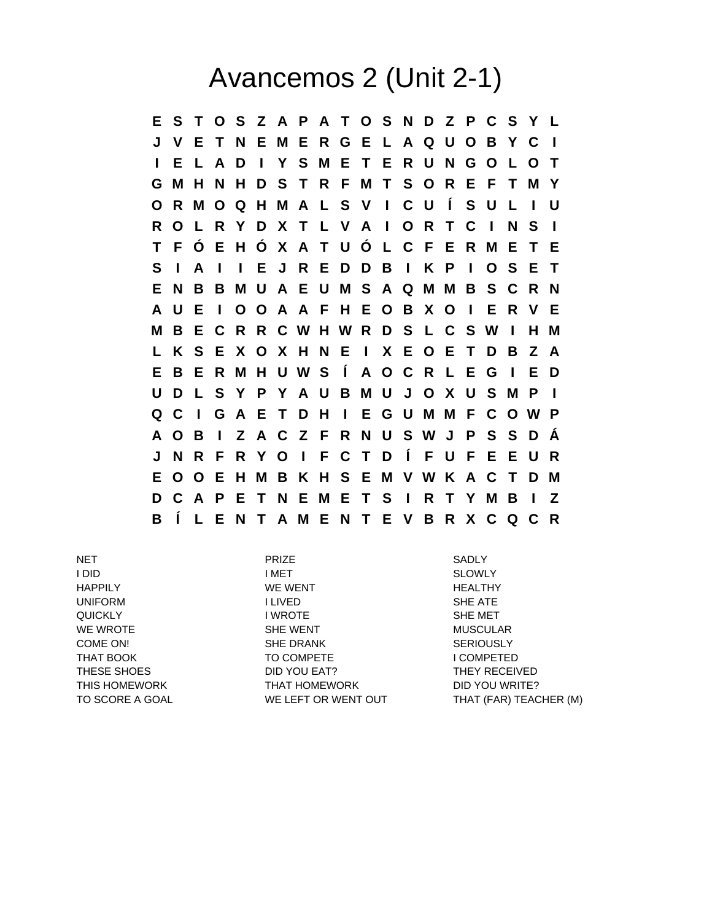## Avancemos 2 (Unit 2-1)

**E S T O S Z A P A T O S N D Z P C S Y L J V E T N E M E R G E L A Q U O B Y C I I E L A D I Y S M E T E R U N G O L O T G M H N H D S T R F M T S O R E F T M Y O R M O Q H M A L S V I C U Í S U L I U R O L R Y D X T L V A I O R T C I N S I T F Ó E H Ó X A T U Ó L C F E R M E T E S I A I I E J R E D D B I K P I O S E T E N B B M U A E U M S A Q M M B S C R N A U E I O O A A F H E O B X O I E R V E M B E C R R C W H W R D S L C S W I H M L K S E X O X H N E I X E O E T D B Z A E B E R M H U W S Í A O C R L E G I E D U D L S Y P Y A U B M U J O X U S M P I Q C I G A E T D H I E G U M M F C O W P A O B I Z A C Z F R N U S W J P S S D Á J N R F R Y O I F C T D Í F U F E E U R E O O E H M B K H S E M V W K A C T D M D C A P E T N E M E T S I R T Y M B I Z B Í L E N T A M E N T E V B R X C Q C R**

NET PRIZE SADLY I DID I MET SLOWLY HAPPILY THE MERIT WE WENT THE HEALTHY UNIFORM **I LIVED I LIVED** SHE ATE QUICKLY **IWROTE** I WROTE SHE MET WE WROTE **SHE WENT** SHE WENT MUSCULAR COME ON! SHE DRANK SHE DRANK SERIOUSLY THAT BOOK TO COMPETE THAT BOOK THESE SHOES **THESE SHOES** DID YOU EAT? THEY RECEIVED THIS HOMEWORK THAT HOMEWORK THIS HOMEWORK DID YOU WRITE?

TO SCORE A GOAL WE LEFT OR WENT OUT THAT (FAR) TEACHER (M)